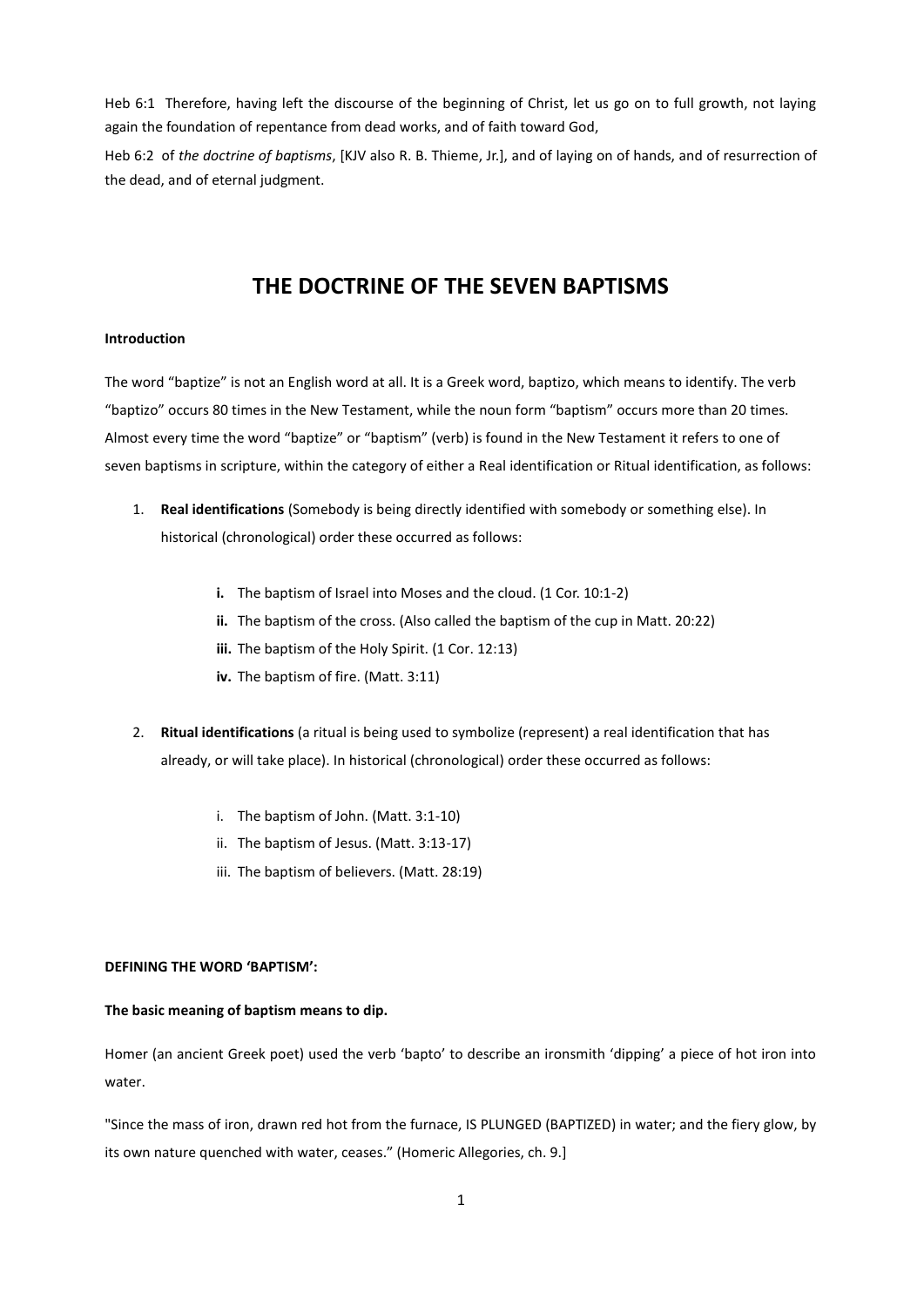Heb 6:1 Therefore, having left the discourse of the beginning of Christ, let us go on to full growth, not laying again the foundation of repentance from dead works, and of faith toward God,

Heb 6:2 of *the doctrine of baptisms*, [KJV also R. B. Thieme, Jr.], and of laying on of hands, and of resurrection of the dead, and of eternal judgment.

# **THE DOCTRINE OF THE SEVEN BAPTISMS**

#### **Introduction**

The word "baptize" is not an English word at all. It is a Greek word, baptizo, which means to identify. The verb "baptizo" occurs 80 times in the New Testament, while the noun form "baptism" occurs more than 20 times. Almost every time the word "baptize" or "baptism" (verb) is found in the New Testament it refers to one of seven baptisms in scripture, within the category of either a Real identification or Ritual identification, as follows:

- 1. **Real identifications** (Somebody is being directly identified with somebody or something else). In historical (chronological) order these occurred as follows:
	- **i.** The baptism of Israel into Moses and the cloud. (1 Cor. 10:1-2)
	- **ii.** The baptism of the cross. (Also called the baptism of the cup in Matt. 20:22)
	- iii. The baptism of the Holy Spirit. (1 Cor. 12:13)
	- **iv.** The baptism of fire. (Matt. 3:11)
- 2. **Ritual identifications** (a ritual is being used to symbolize (represent) a real identification that has already, or will take place). In historical (chronological) order these occurred as follows:
	- i. The baptism of John. (Matt. 3:1-10)
	- ii. The baptism of Jesus. (Matt. 3:13-17)
	- iii. The baptism of believers. (Matt. 28:19)

#### **DEFINING THE WORD 'BAPTISM':**

#### **The basic meaning of baptism means to dip.**

Homer (an ancient Greek poet) used the verb 'bapto' to describe an ironsmith 'dipping' a piece of hot iron into water.

"Since the mass of iron, drawn red hot from the furnace, IS PLUNGED (BAPTIZED) in water; and the fiery glow, by its own nature quenched with water, ceases." (Homeric Allegories, ch. 9.]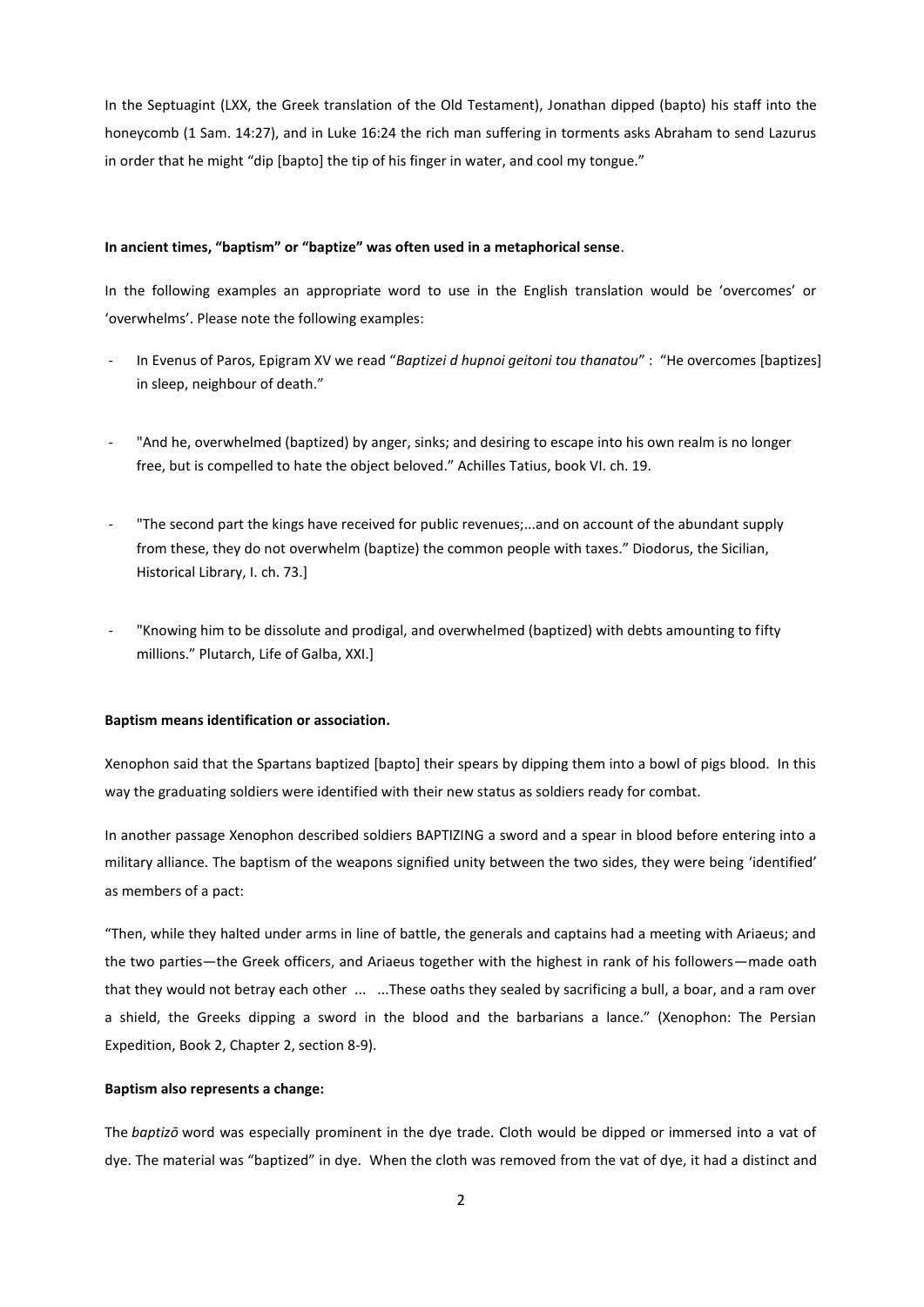In the Septuagint (LXX, the Greek translation of the Old Testament), Jonathan dipped (bapto) his staff into the honeycomb (1 Sam. 14:27), and in Luke 16:24 the rich man suffering in torments asks Abraham to send Lazurus in order that he might "dip [bapto] the tip of his finger in water, and cool my tongue."

#### **In ancient times, "baptism" or "baptize" was often used in a metaphorical sense**.

In the following examples an appropriate word to use in the English translation would be 'overcomes' or 'overwhelms'. Please note the following examples:

- In Evenus of Paros, Epigram XV we read "Baptizei d hupnoi geitoni tou thanatou" : "He overcomes [baptizes] in sleep, neighbour of death."
- "And he, overwhelmed (baptized) by anger, sinks; and desiring to escape into his own realm is no longer free, but is compelled to hate the object beloved." Achilles Tatius, book VI. ch. 19.
- "The second part the kings have received for public revenues;...and on account of the abundant supply from these, they do not overwhelm (baptize) the common people with taxes." Diodorus, the Sicilian, Historical Library, I. ch. 73.]
- "Knowing him to be dissolute and prodigal, and overwhelmed (baptized) with debts amounting to fifty millions." Plutarch, Life of Galba, XXI.]

#### **Baptism means identification or association.**

Xenophon said that the Spartans baptized [bapto] their spears by dipping them into a bowl of pigs blood. In this way the graduating soldiers were identified with their new status as soldiers ready for combat.

In another passage Xenophon described soldiers BAPTIZING a sword and a spear in blood before entering into a military alliance. The baptism of the weapons signified unity between the two sides, they were being 'identified' as members of a pact:

"Then, while they halted under arms in line of battle, the generals and captains had a meeting with Ariaeus; and the two parties—the Greek officers, and Ariaeus together with the highest in rank of his followers—made oath that they would not betray each other ... ...These oaths they sealed by sacrificing a bull, a boar, and a ram over a shield, the Greeks dipping a sword in the blood and the barbarians a lance." (Xenophon: The Persian Expedition, Book 2, Chapter 2, section 8-9).

## **Baptism also represents a change:**

The *baptizō* word was especially prominent in the dye trade. Cloth would be dipped or immersed into a vat of dye. The material was "baptized" in dye. When the cloth was removed from the vat of dye, it had a distinct and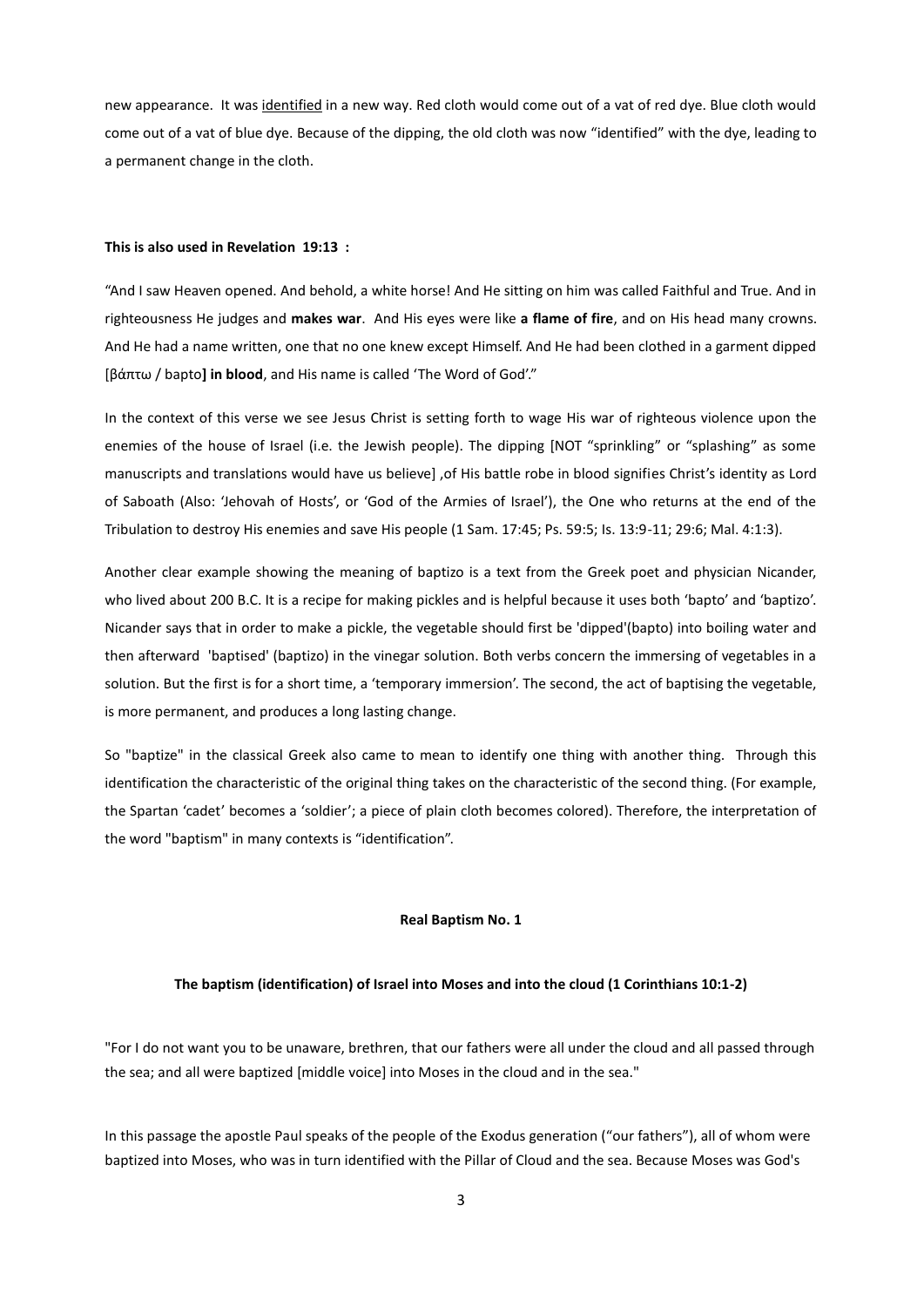new appearance. It was identified in a new way. Red cloth would come out of a vat of red dye. Blue cloth would come out of a vat of blue dye. Because of the dipping, the old cloth was now "identified" with the dye, leading to a permanent change in the cloth.

#### **This is also used in Revelation 19:13 :**

"And I saw Heaven opened. And behold, a white horse! And He sitting on him was called Faithful and True. And in righteousness He judges and **makes war**. And His eyes were like **a flame of fire**, and on His head many crowns. And He had a name written, one that no one knew except Himself. And He had been clothed in a garment dipped \*βάπτω / bapto**] in blood**, and His name is called 'The Word of God'."

In the context of this verse we see Jesus Christ is setting forth to wage His war of righteous violence upon the enemies of the house of Israel (i.e. the Jewish people). The dipping [NOT "sprinkling" or "splashing" as some manuscripts and translations would have us believe] ,of His battle robe in blood signifies Christ's identity as Lord of Saboath (Also: 'Jehovah of Hosts', or 'God of the Armies of Israel'), the One who returns at the end of the Tribulation to destroy His enemies and save His people (1 Sam. 17:45; Ps. 59:5; Is. 13:9-11; 29:6; Mal. 4:1:3).

Another clear example showing the meaning of baptizo is a text from the Greek poet and physician Nicander, who lived about 200 B.C. It is a recipe for making pickles and is helpful because it uses both 'bapto' and 'baptizo'. Nicander says that in order to make a pickle, the vegetable should first be 'dipped'(bapto) into boiling water and then afterward 'baptised' (baptizo) in the vinegar solution. Both verbs concern the immersing of vegetables in a solution. But the first is for a short time, a 'temporary immersion'. The second, the act of baptising the vegetable, is more permanent, and produces a long lasting change.

So "baptize" in the classical Greek also came to mean to identify one thing with another thing. Through this identification the characteristic of the original thing takes on the characteristic of the second thing. (For example, the Spartan 'cadet' becomes a 'soldier'; a piece of plain cloth becomes colored). Therefore, the interpretation of the word "baptism" in many contexts is "identification".

## **Real Baptism No. 1**

#### **The baptism (identification) of Israel into Moses and into the cloud (1 Corinthians 10:1-2)**

"For I do not want you to be unaware, brethren, that our fathers were all under the cloud and all passed through the sea; and all were baptized [middle voice] into Moses in the cloud and in the sea."

In this passage the apostle Paul speaks of the people of the Exodus generation ("our fathers"), all of whom were baptized into Moses, who was in turn identified with the Pillar of Cloud and the sea. Because Moses was God's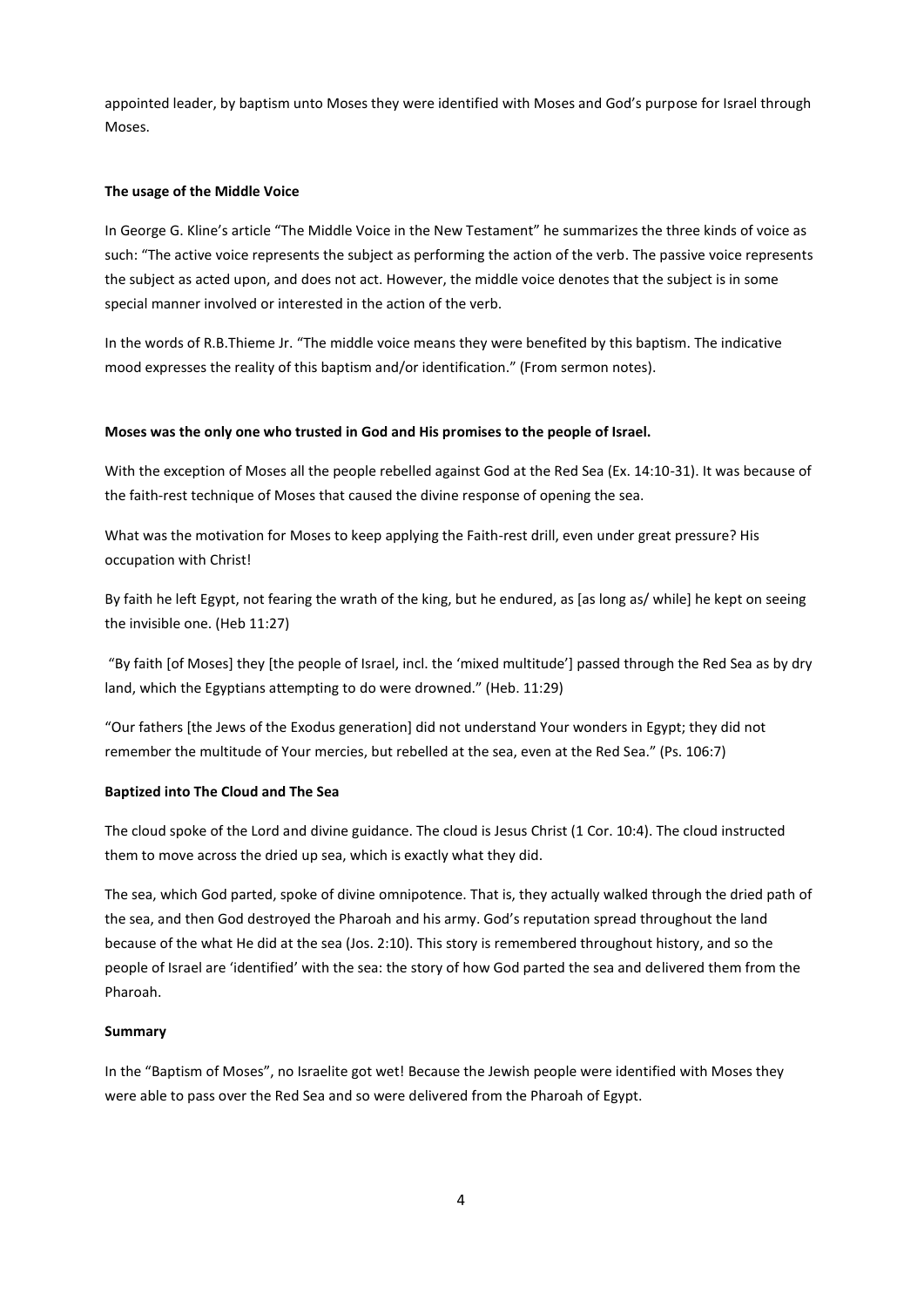appointed leader, by baptism unto Moses they were identified with Moses and God's purpose for Israel through Moses.

## **The usage of the Middle Voice**

In George G. Kline's article "The Middle Voice in the New Testament" he summarizes the three kinds of voice as such: "The active voice represents the subject as performing the action of the verb. The passive voice represents the subject as acted upon, and does not act. However, the middle voice denotes that the subject is in some special manner involved or interested in the action of the verb.

In the words of R.B.Thieme Jr. "The middle voice means they were benefited by this baptism. The indicative mood expresses the reality of this baptism and/or identification." (From sermon notes).

## **Moses was the only one who trusted in God and His promises to the people of Israel.**

With the exception of Moses all the people rebelled against God at the Red Sea (Ex. 14:10-31). It was because of the faith-rest technique of Moses that caused the divine response of opening the sea.

What was the motivation for Moses to keep applying the Faith-rest drill, even under great pressure? His occupation with Christ!

By faith he left Egypt, not fearing the wrath of the king, but he endured, as [as long as/ while] he kept on seeing the invisible one. (Heb 11:27)

"By faith [of Moses] they [the people of Israel, incl. the 'mixed multitude'] passed through the Red Sea as by dry land, which the Egyptians attempting to do were drowned." (Heb. 11:29)

"Our fathers [the Jews of the Exodus generation] did not understand Your wonders in Egypt; they did not remember the multitude of Your mercies, but rebelled at the sea, even at the Red Sea." (Ps. 106:7)

#### **Baptized into The Cloud and The Sea**

The cloud spoke of the Lord and divine guidance. The cloud is Jesus Christ (1 Cor. 10:4). The cloud instructed them to move across the dried up sea, which is exactly what they did.

The sea, which God parted, spoke of divine omnipotence. That is, they actually walked through the dried path of the sea, and then God destroyed the Pharoah and his army. God's reputation spread throughout the land because of the what He did at the sea (Jos. 2:10). This story is remembered throughout history, and so the people of Israel are 'identified' with the sea: the story of how God parted the sea and delivered them from the Pharoah.

## **Summary**

In the "Baptism of Moses", no Israelite got wet! Because the Jewish people were identified with Moses they were able to pass over the Red Sea and so were delivered from the Pharoah of Egypt.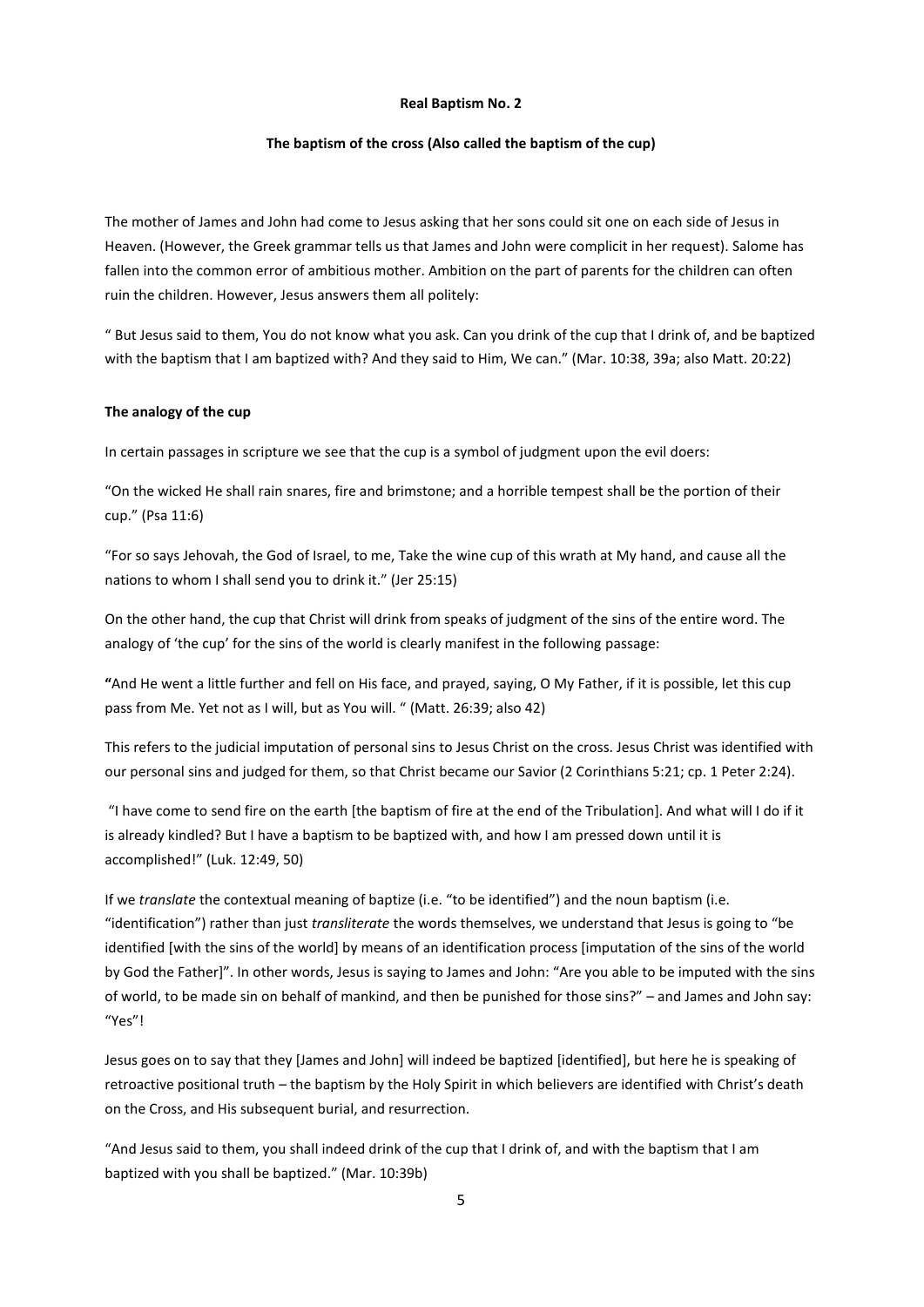#### **Real Baptism No. 2**

#### **The baptism of the cross (Also called the baptism of the cup)**

The mother of James and John had come to Jesus asking that her sons could sit one on each side of Jesus in Heaven. (However, the Greek grammar tells us that James and John were complicit in her request). Salome has fallen into the common error of ambitious mother. Ambition on the part of parents for the children can often ruin the children. However, Jesus answers them all politely:

" But Jesus said to them, You do not know what you ask. Can you drink of the cup that I drink of, and be baptized with the baptism that I am baptized with? And they said to Him, We can." (Mar. 10:38, 39a; also Matt. 20:22)

#### **The analogy of the cup**

In certain passages in scripture we see that the cup is a symbol of judgment upon the evil doers:

"On the wicked He shall rain snares, fire and brimstone; and a horrible tempest shall be the portion of their cup." (Psa 11:6)

"For so says Jehovah, the God of Israel, to me, Take the wine cup of this wrath at My hand, and cause all the nations to whom I shall send you to drink it." (Jer 25:15)

On the other hand, the cup that Christ will drink from speaks of judgment of the sins of the entire word. The analogy of 'the cup' for the sins of the world is clearly manifest in the following passage:

**"**And He went a little further and fell on His face, and prayed, saying, O My Father, if it is possible, let this cup pass from Me. Yet not as I will, but as You will. " (Matt. 26:39; also 42)

This refers to the judicial imputation of personal sins to Jesus Christ on the cross. Jesus Christ was identified with our personal sins and judged for them, so that Christ became our Savior (2 Corinthians 5:21; cp. 1 Peter 2:24).

"I have come to send fire on the earth ithe baptism of fire at the end of the Tribulation]. And what will I do if it is already kindled? But I have a baptism to be baptized with, and how I am pressed down until it is accomplished!" (Luk. 12:49, 50)

If we *translate* the contextual meaning of baptize (i.e. "to be identified") and the noun baptism (i.e. "identification") rather than just *transliterate* the words themselves, we understand that Jesus is going to "be identified [with the sins of the world] by means of an identification process [imputation of the sins of the world by God the Father]". In other words, Jesus is saying to James and John: "Are you able to be imputed with the sins of world, to be made sin on behalf of mankind, and then be punished for those sins?" – and James and John say: "Yes"!

Jesus goes on to say that they [James and John] will indeed be baptized [identified], but here he is speaking of retroactive positional truth – the baptism by the Holy Spirit in which believers are identified with Christ's death on the Cross, and His subsequent burial, and resurrection.

"And Jesus said to them, you shall indeed drink of the cup that I drink of, and with the baptism that I am baptized with you shall be baptized." (Mar. 10:39b)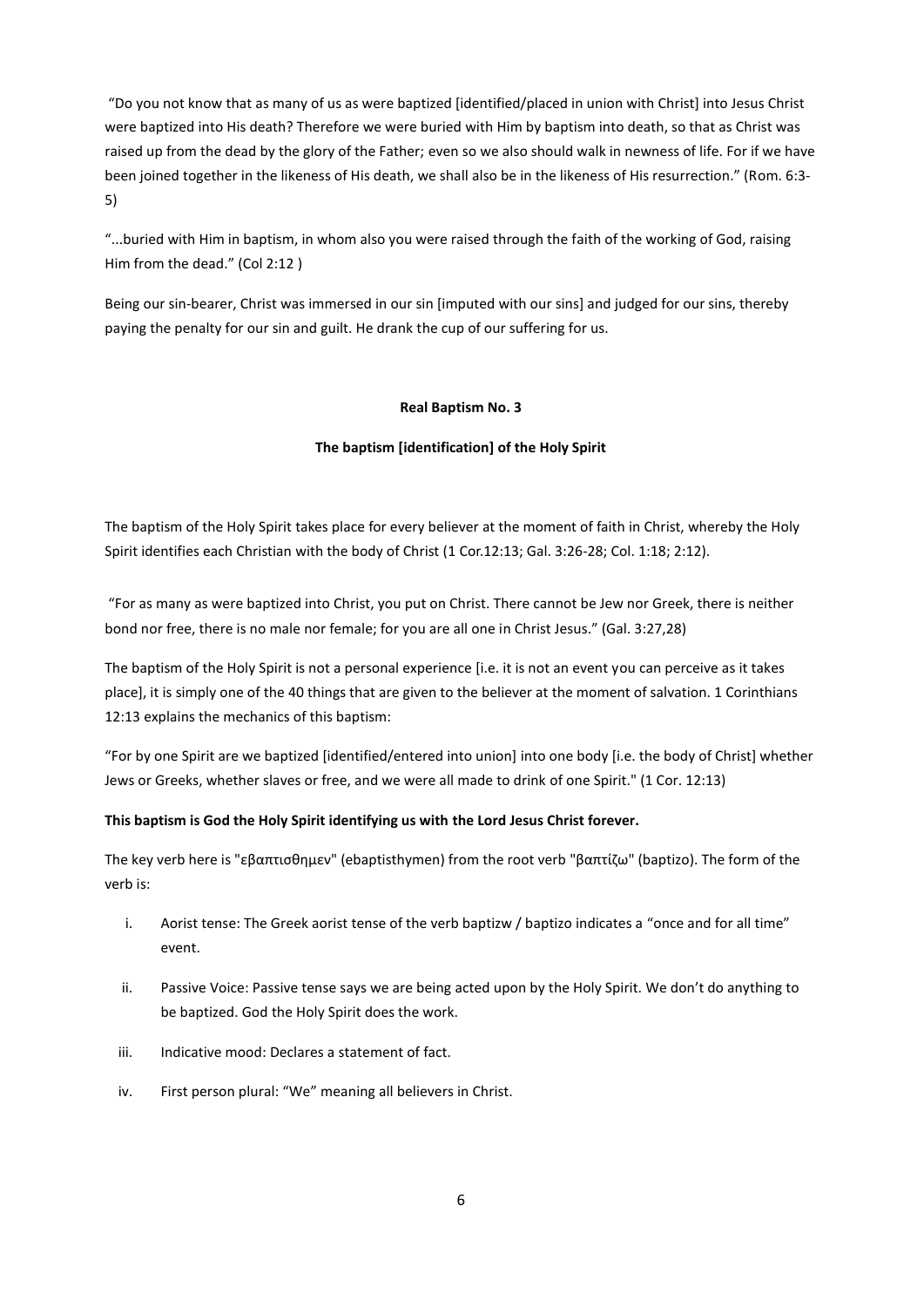"Do you not know that as many of us as were baptized [identified/placed in union with Christ] into Jesus Christ were baptized into His death? Therefore we were buried with Him by baptism into death, so that as Christ was raised up from the dead by the glory of the Father; even so we also should walk in newness of life. For if we have been joined together in the likeness of His death, we shall also be in the likeness of His resurrection." (Rom. 6:3- 5)

"...buried with Him in baptism, in whom also you were raised through the faith of the working of God, raising Him from the dead." (Col 2:12 )

Being our sin-bearer, Christ was immersed in our sin [imputed with our sins] and judged for our sins, thereby paying the penalty for our sin and guilt. He drank the cup of our suffering for us.

## **Real Baptism No. 3**

## **The baptism [identification] of the Holy Spirit**

The baptism of the Holy Spirit takes place for every believer at the moment of faith in Christ, whereby the Holy Spirit identifies each Christian with the body of Christ (1 Cor.12:13; Gal. 3:26-28; Col. 1:18; 2:12).

"For as many as were baptized into Christ, you put on Christ. There cannot be Jew nor Greek, there is neither bond nor free, there is no male nor female; for you are all one in Christ Jesus." (Gal. 3:27,28)

The baptism of the Holy Spirit is not a personal experience [i.e. it is not an event you can perceive as it takes place], it is simply one of the 40 things that are given to the believer at the moment of salvation. 1 Corinthians 12:13 explains the mechanics of this baptism:

"For by one Spirit are we baptized [identified/entered into union] into one body [i.e. the body of Christ] whether Jews or Greeks, whether slaves or free, and we were all made to drink of one Spirit." (1 Cor. 12:13)

# **This baptism is God the Holy Spirit identifying us with the Lord Jesus Christ forever.**

The key verb here is "εβαπτισθημεν" (ebaptisthymen) from the root verb "βαπτίζω" (baptizo). The form of the verb is:

- i. Aorist tense: The Greek aorist tense of the verb baptizw / baptizo indicates a "once and for all time" event.
- ii. Passive Voice: Passive tense says we are being acted upon by the Holy Spirit. We don't do anything to be baptized. God the Holy Spirit does the work.
- iii. Indicative mood: Declares a statement of fact.
- iv. First person plural: "We" meaning all believers in Christ.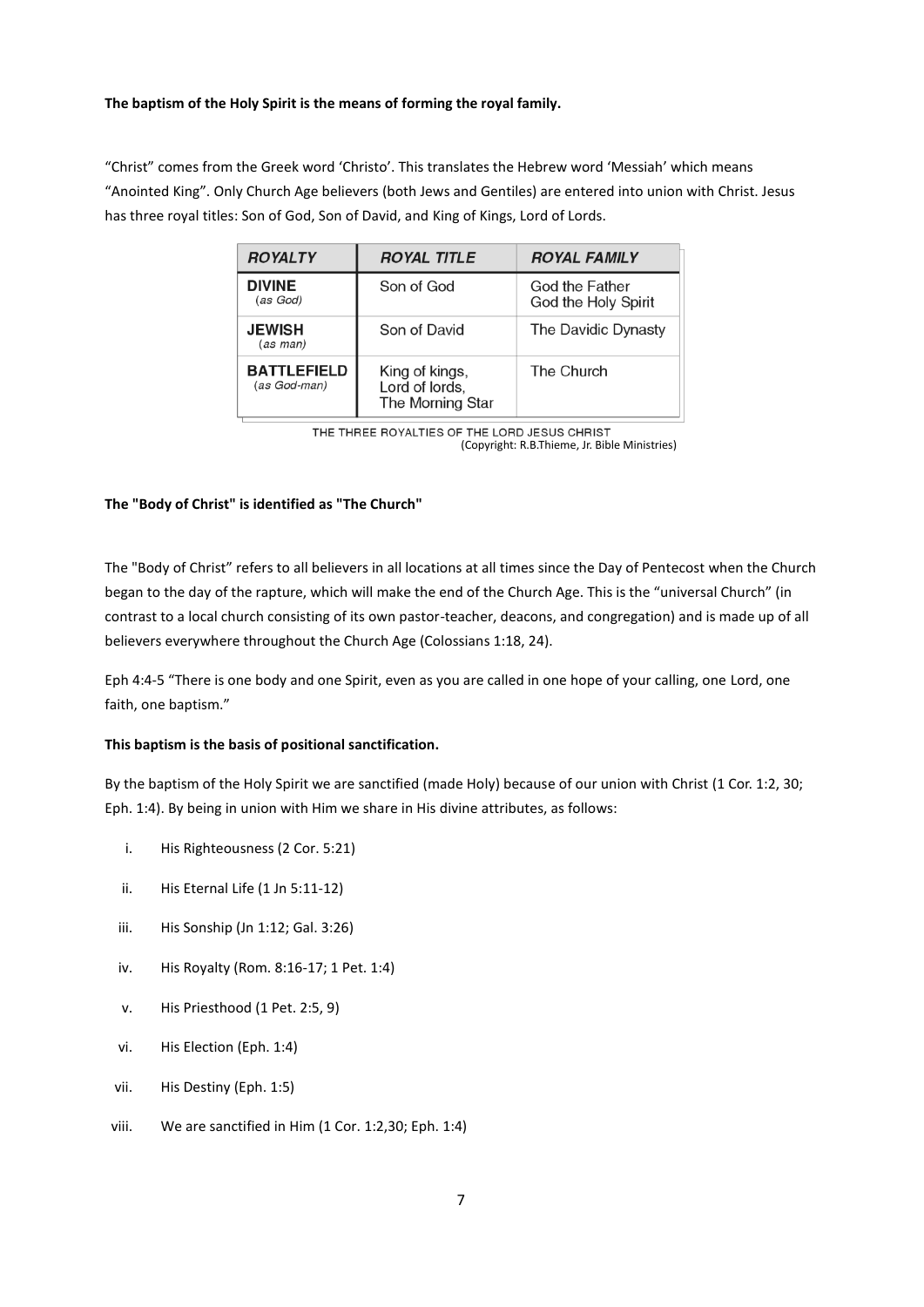## **The baptism of the Holy Spirit is the means of forming the royal family.**

"Christ" comes from the Greek word 'Christo'. This translates the Hebrew word 'Messiah' which means "Anointed King". Only Church Age believers (both Jews and Gentiles) are entered into union with Christ. Jesus has three royal titles: Son of God, Son of David, and King of Kings, Lord of Lords.

| <b>ROYALTY</b>                     | <b>ROYAL TITLE</b>                                   | <b>ROYAL FAMILY</b>                   |  |  |
|------------------------------------|------------------------------------------------------|---------------------------------------|--|--|
| <b>DIVINE</b><br>(as God)          | Son of God                                           | God the Father<br>God the Holy Spirit |  |  |
| <b>JEWISH</b><br>(as man)          | Son of David                                         | The Davidic Dynasty                   |  |  |
| <b>BATTLEFIELD</b><br>(as God-man) | King of kings,<br>Lord of lords,<br>The Morning Star | The Church                            |  |  |

THE THREE ROYALTIES OF THE LORD JESUS CHRIST (Copyright: R.B.Thieme, Jr. Bible Ministries)

## **The "Body of Christ" is identified as "The Church"**

The "Body of Christ" refers to all believers in all locations at all times since the Day of Pentecost when the Church began to the day of the rapture, which will make the end of the Church Age. This is the "universal Church" (in contrast to a local church consisting of its own pastor-teacher, deacons, and congregation) and is made up of all believers everywhere throughout the Church Age (Colossians [1:18,](http://www.spiritandtruth.org/bibles/nasb/b51c001.htm#Col._C1V18) [24\)](http://www.spiritandtruth.org/bibles/nasb/b51c001.htm#Col._C1V24).

Eph 4:4-5 "There is one body and one Spirit, even as you are called in one hope of your calling, one Lord, one faith, one baptism."

#### **This baptism is the basis of positional sanctification.**

By the baptism of the Holy Spirit we are sanctified (made Holy) because of our union with Christ (1 Cor. 1:2, 30; Eph. 1:4). By being in union with Him we share in His divine attributes, as follows:

- i. His Righteousness (2 Cor. 5:21)
- ii. His Eternal Life (1 Jn 5:11-12)
- iii. His Sonship (Jn 1:12; Gal. 3:26)
- iv. His Royalty (Rom. 8:16-17; 1 Pet. 1:4)
- v. His Priesthood (1 Pet. 2:5, 9)
- vi. His Election (Eph. 1:4)
- vii. His Destiny (Eph. 1:5)
- viii. We are sanctified in Him (1 Cor. 1:2,30; Eph. 1:4)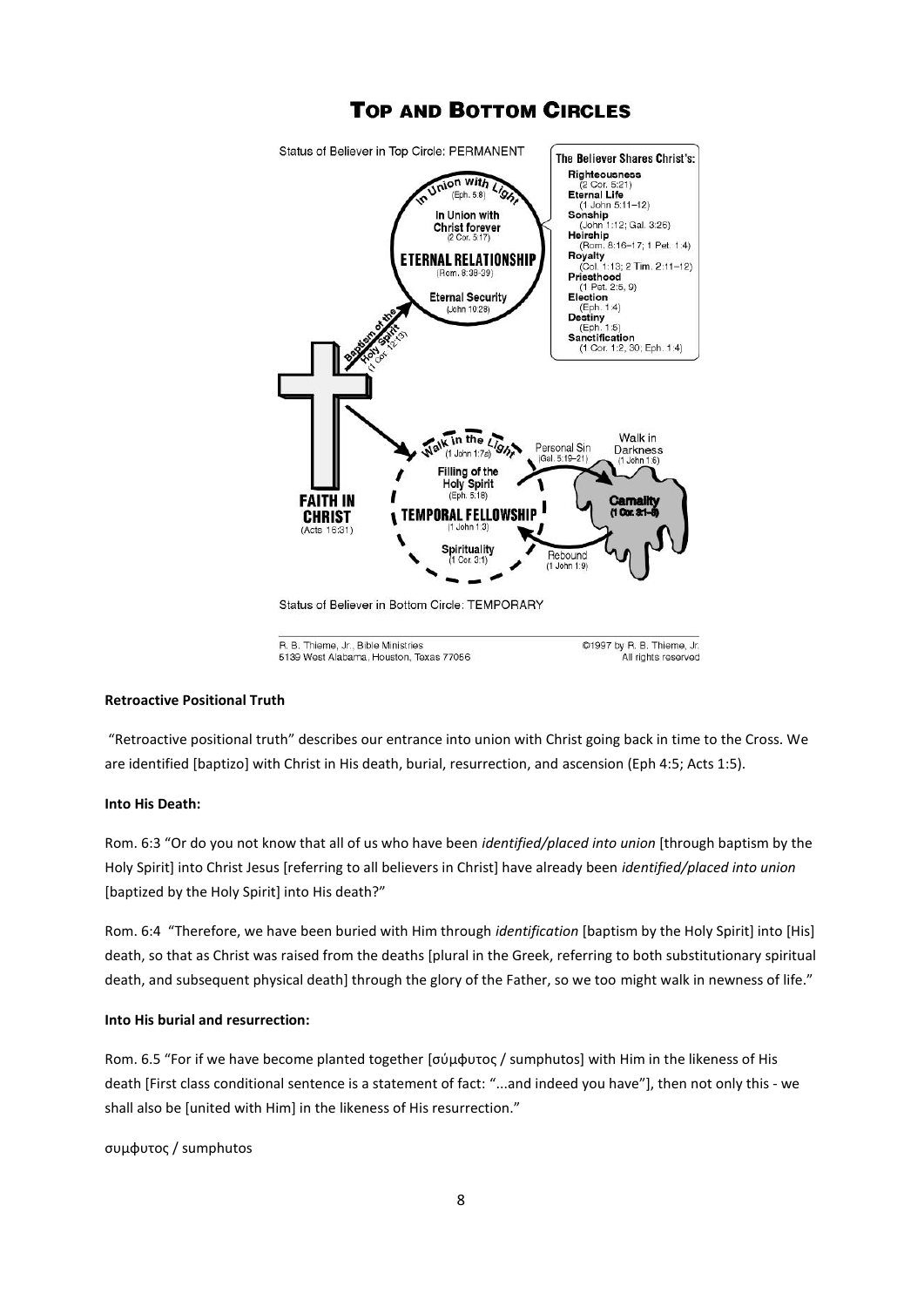

# **TOP AND BOTTOM CIRCLES**

**Retroactive Positional Truth**

"Retroactive positional truth" describes our entrance into union with Christ going back in time to the Cross. We are identified [baptizo] with Christ in His death, burial, resurrection, and ascension (Eph 4:5; Acts 1:5).

All rights reserved

5139 West Alabama, Houston, Texas 77056

# **Into His Death:**

Rom. 6:3 "Or do you not know that all of us who have been *identified/placed into union* [through baptism by the Holy Spirit] into Christ Jesus [referring to all believers in Christ] have already been *identified/placed into union* [baptized by the Holy Spirit] into His death?"

Rom. 6:4 "Therefore, we have been buried with Him through *identification* [baptism by the Holy Spirit] into [His] death, so that as Christ was raised from the deaths [plural in the Greek, referring to both substitutionary spiritual death, and subsequent physical death] through the glory of the Father, so we too might walk in newness of life."

## **Into His burial and resurrection:**

Rom. 6.5 "For if we have become planted together [σύμφυτος / sumphutos] with Him in the likeness of His death [First class conditional sentence is a statement of fact: "...and indeed you have"], then not only this - we shall also be [united with Him] in the likeness of His resurrection."

ςυ φυτοσ / sumphutos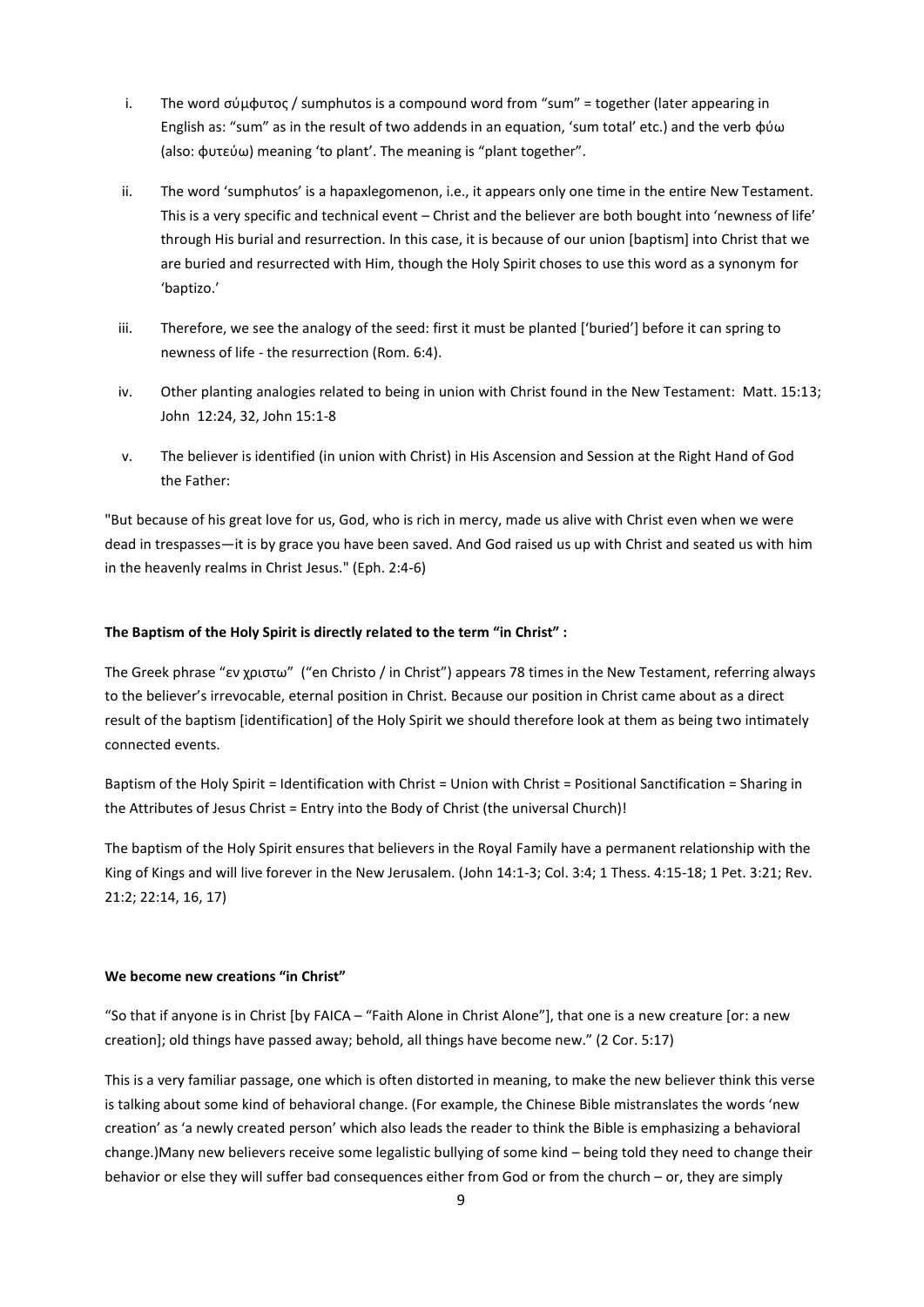- i. The word σύμφυτος / sumphutos is a compound word from "sum" = together (later appearing in English as: "sum" as in the result of two addends in an equation, 'sum total' etc.) and the verb φύω (also: φυτεύω) meaning 'to plant'. The meaning is "plant together".
- ii. The word 'sumphutos' is a hapaxlegomenon, i.e., it appears only one time in the entire New Testament. This is a very specific and technical event – Christ and the believer are both bought into 'newness of life' through His burial and resurrection. In this case, it is because of our union [baptism] into Christ that we are buried and resurrected with Him, though the Holy Spirit choses to use this word as a synonym for 'baptizo.'
- iii. Therefore, we see the analogy of the seed: first it must be planted ['buried'] before it can spring to newness of life - the resurrection (Rom. 6:4).
- iv. Other planting analogies related to being in union with Christ found in the New Testament: Matt. 15:13; John 12:24, 32, John 15:1-8
- v. The believer is identified (in union with Christ) in His Ascension and Session at the Right Hand of God the Father:

"But because of his great love for us, God, who is rich in mercy, made us alive with Christ even when we were dead in trespasses—it is by grace you have been saved. And God raised us up with Christ and seated us with him in the heavenly realms in Christ Jesus." (Eph. 2:4-6)

## **The Baptism of the Holy Spirit is directly related to the term "in Christ" :**

The Greek phrase "εν χριστω" ("en Christo / in Christ") appears 78 times in the New Testament, referring always to the believer's irrevocable, eternal position in Christ. Because our position in Christ came about as a direct result of the baptism [identification] of the Holy Spirit we should therefore look at them as being two intimately connected events.

Baptism of the Holy Spirit = Identification with Christ = Union with Christ = Positional Sanctification = Sharing in the Attributes of Jesus Christ = Entry into the Body of Christ (the universal Church)!

The baptism of the Holy Spirit ensures that believers in the Royal Family have a permanent relationship with the King of Kings and will live forever in the New Jerusalem. (John 14:1-3; Col. 3:4; 1 Thess. 4:15-18; 1 Pet. 3:21; Rev. 21:2; 22:14, 16, 17)

## **We become new creations "in Christ"**

"So that if anyone is in Christ [by FAICA – "Faith Alone in Christ Alone"], that one is a new creature [or: a new creation]; old things have passed away; behold, all things have become new." (2 Cor. 5:17)

This is a very familiar passage, one which is often distorted in meaning, to make the new believer think this verse is talking about some kind of behavioral change. (For example, the Chinese Bible mistranslates the words 'new creation' as 'a newly created person' which also leads the reader to think the Bible is emphasizing a behavioral change.)Many new believers receive some legalistic bullying of some kind – being told they need to change their behavior or else they will suffer bad consequences either from God or from the church – or, they are simply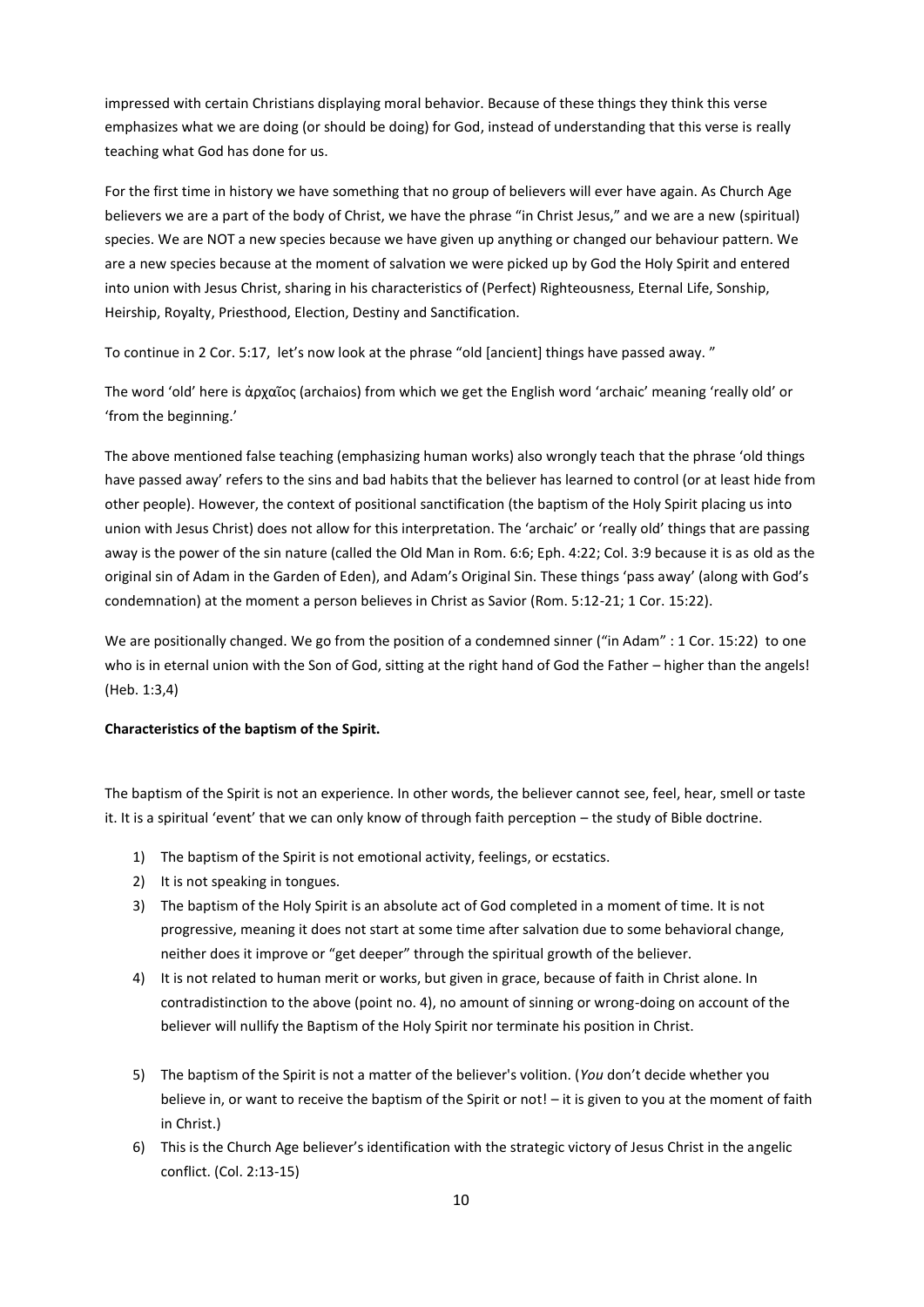impressed with certain Christians displaying moral behavior. Because of these things they think this verse emphasizes what we are doing (or should be doing) for God, instead of understanding that this verse is really teaching what God has done for us.

For the first time in history we have something that no group of believers will ever have again. As Church Age believers we are a part of the body of Christ, we have the phrase "in Christ Jesus," and we are a new (spiritual) species. We are NOT a new species because we have given up anything or changed our behaviour pattern. We are a new species because at the moment of salvation we were picked up by God the Holy Spirit and entered into union with Jesus Christ, sharing in his characteristics of (Perfect) Righteousness, Eternal Life, Sonship, Heirship, Royalty, Priesthood, Election, Destiny and Sanctification.

To continue in 2 Cor. 5:17, let's now look at the phrase "old [ancient] things have passed away."

The word 'old' here is άρχαῖος (archaios) from which we get the English word 'archaic' meaning 'really old' or 'from the beginning.'

The above mentioned false teaching (emphasizing human works) also wrongly teach that the phrase 'old things have passed away' refers to the sins and bad habits that the believer has learned to control (or at least hide from other people). However, the context of positional sanctification (the baptism of the Holy Spirit placing us into union with Jesus Christ) does not allow for this interpretation. The 'archaic' or 'really old' things that are passing away is the power of the sin nature (called the Old Man in Rom. 6:6; Eph. 4:22; Col. 3:9 because it is as old as the original sin of Adam in the Garden of Eden), and Adam's Original Sin. These things 'pass away' (along with God's condemnation) at the moment a person believes in Christ as Savior (Rom. 5:12-21; 1 Cor. 15:22).

We are positionally changed. We go from the position of a condemned sinner ("in Adam" : 1 Cor. 15:22) to one who is in eternal union with the Son of God, sitting at the right hand of God the Father – higher than the angels! (Heb. 1:3,4)

## **Characteristics of the baptism of the Spirit.**

The baptism of the Spirit is not an experience. In other words, the believer cannot see, feel, hear, smell or taste it. It is a spiritual 'event' that we can only know of through faith perception – the study of Bible doctrine.

- 1) The baptism of the Spirit is not emotional activity, feelings, or ecstatics.
- 2) It is not speaking in tongues.
- 3) The baptism of the Holy Spirit is an absolute act of God completed in a moment of time. It is not progressive, meaning it does not start at some time after salvation due to some behavioral change, neither does it improve or "get deeper" through the spiritual growth of the believer.
- 4) It is not related to human merit or works, but given in grace, because of faith in Christ alone. In contradistinction to the above (point no. 4), no amount of sinning or wrong-doing on account of the believer will nullify the Baptism of the Holy Spirit nor terminate his position in Christ.
- 5) The baptism of the Spirit is not a matter of the believer's volition. (*You* don't decide whether you believe in, or want to receive the baptism of the Spirit or not! - it is given to you at the moment of faith in Christ.)
- 6) This is the Church Age believer's identification with the strategic victory of Jesus Christ in the angelic conflict. (Col. 2:13-15)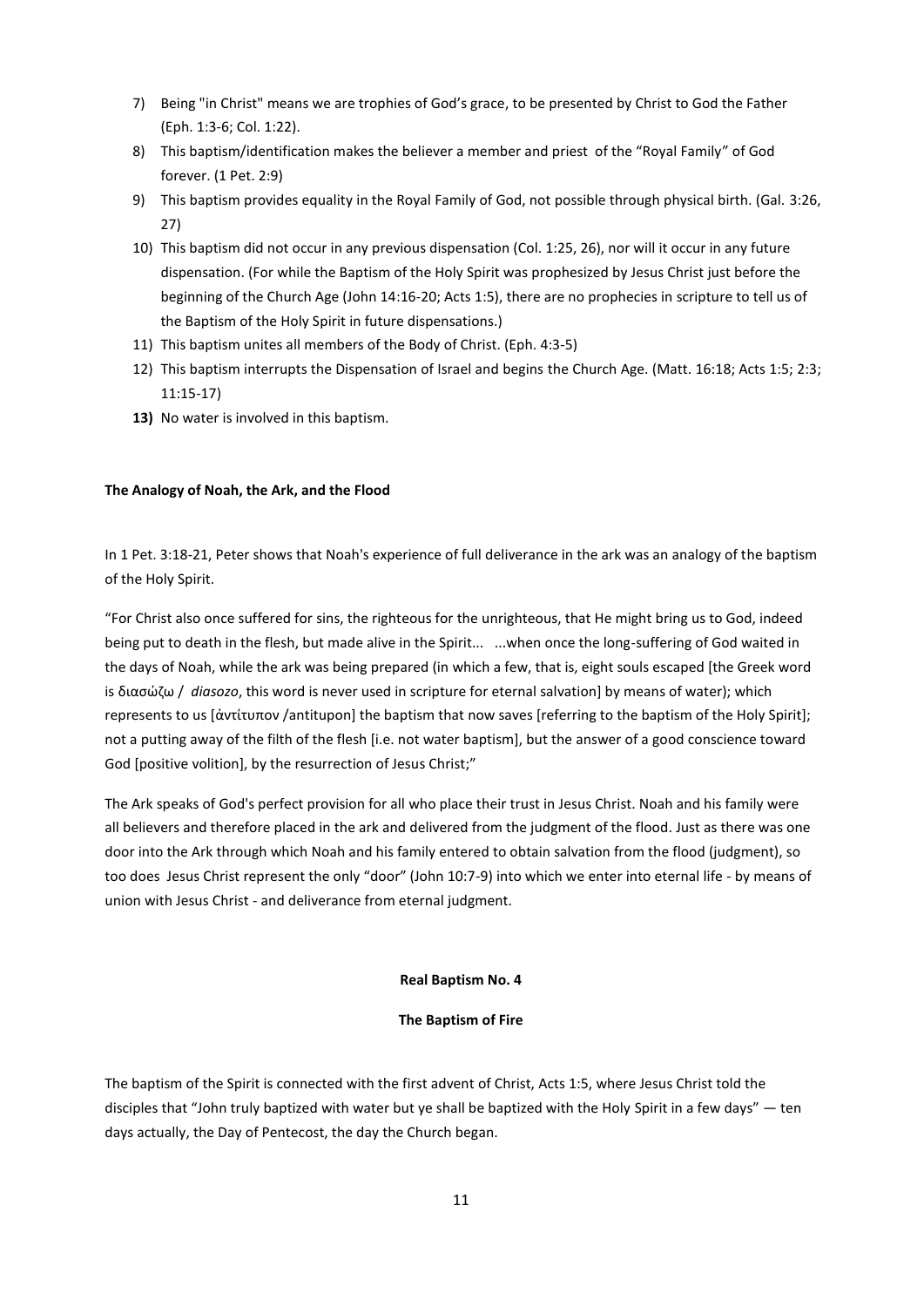- 7) Being "in Christ" means we are trophies of God's grace, to be presented by Christ to God the Father (Eph. 1:3-6; Col. 1:22).
- 8) This baptism/identification makes the believer a member and priest of the "Royal Family" of God forever. (1 Pet. 2:9)
- 9) This baptism provides equality in the Royal Family of God, not possible through physical birth. (Gal. 3:26, 27)
- 10) This baptism did not occur in any previous dispensation (Col. 1:25, 26), nor will it occur in any future dispensation. (For while the Baptism of the Holy Spirit was prophesized by Jesus Christ just before the beginning of the Church Age (John 14:16-20; Acts 1:5), there are no prophecies in scripture to tell us of the Baptism of the Holy Spirit in future dispensations.)
- 11) This baptism unites all members of the Body of Christ. (Eph. 4:3-5)
- 12) This baptism interrupts the Dispensation of Israel and begins the Church Age. (Matt. 16:18; Acts 1:5; 2:3; 11:15-17)
- **13)** No water is involved in this baptism.

## **The Analogy of Noah, the Ark, and the Flood**

In 1 Pet. 3:18-21, Peter shows that Noah's experience of full deliverance in the ark was an analogy of the baptism of the Holy Spirit.

"For Christ also once suffered for sins, the righteous for the unrighteous, that He might bring us to God, indeed being put to death in the flesh, but made alive in the Spirit... ...when once the long-suffering of God waited in the days of Noah, while the ark was being prepared (in which a few, that is, eight souls escaped [the Greek word is διασώζω / diasozo, this word is never used in scripture for eternal salvation] by means of water); which represents to us [ἀντίτυπον /antitupon] the baptism that now saves [referring to the baptism of the Holy Spirit]; not a putting away of the filth of the flesh [i.e. not water baptism], but the answer of a good conscience toward God [positive volition], by the resurrection of Jesus Christ;"

The Ark speaks of God's perfect provision for all who place their trust in Jesus Christ. Noah and his family were all believers and therefore placed in the ark and delivered from the judgment of the flood. Just as there was one door into the Ark through which Noah and his family entered to obtain salvation from the flood (judgment), so too does Jesus Christ represent the only "door" (John 10:7-9) into which we enter into eternal life - by means of union with Jesus Christ - and deliverance from eternal judgment.

#### **Real Baptism No. 4**

## **The Baptism of Fire**

The baptism of the Spirit is connected with the first advent of Christ, Acts 1:5, where Jesus Christ told the disciples that "John truly baptized with water but ye shall be baptized with the Holy Spirit in a few days" — ten days actually, the Day of Pentecost, the day the Church began.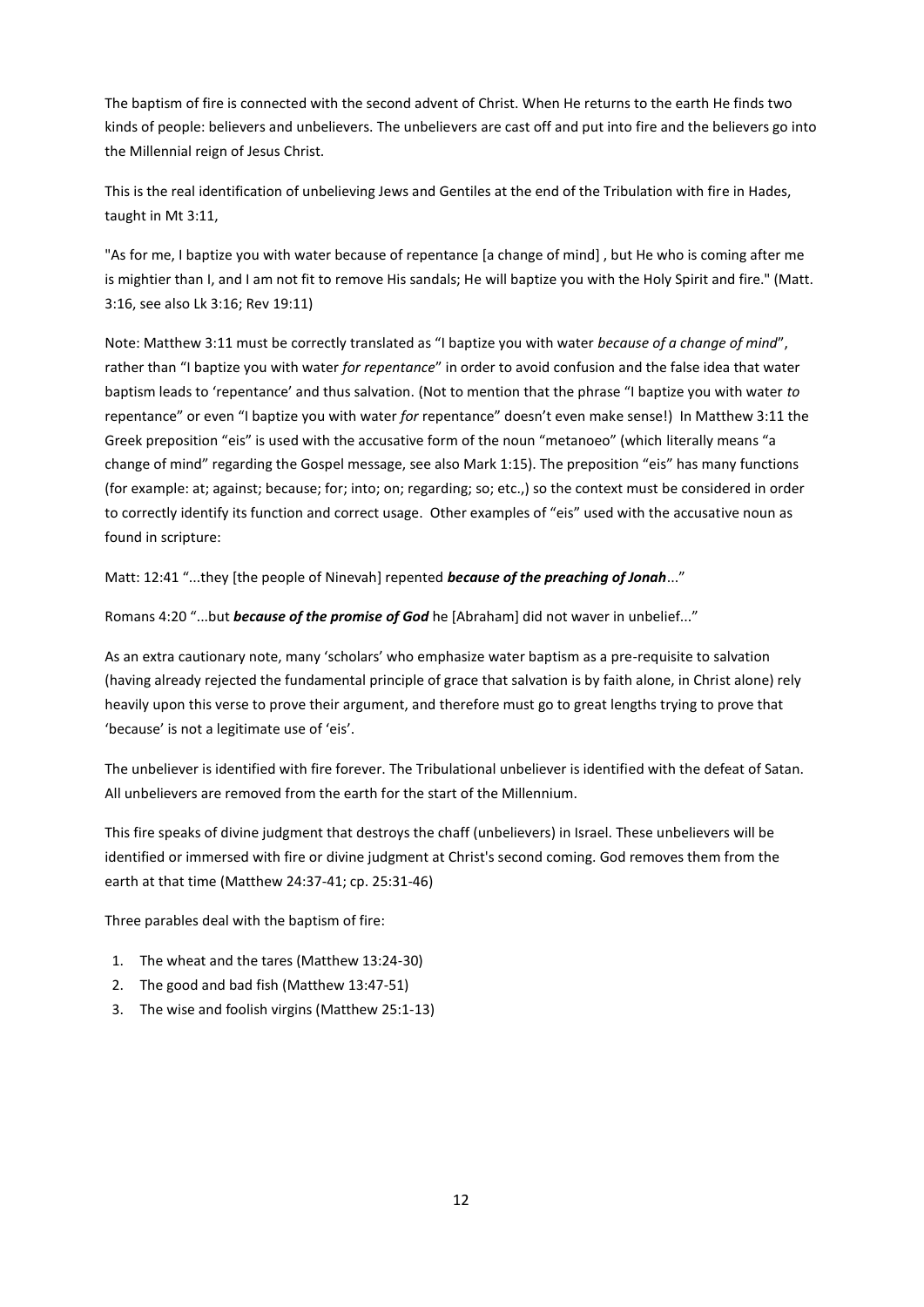The baptism of fire is connected with the second advent of Christ. When He returns to the earth He finds two kinds of people: believers and unbelievers. The unbelievers are cast off and put into fire and the believers go into the Millennial reign of Jesus Christ.

This is the real identification of unbelieving Jews and Gentiles at the end of the Tribulation with fire in Hades, taught in Mt 3:11,

"As for me, I baptize you with water because of repentance [a change of mind] , but He who is coming after me is mightier than I, and I am not fit to remove His sandals; He will baptize you with the Holy Spirit and fire." (Matt. 3:16, see also Lk 3:16; Rev 19:11)

Note: Matthew 3:11 must be correctly translated as "I baptize you with water *because of a change of mind*", rather than "I baptize you with water *for repentance*" in order to avoid confusion and the false idea that water baptism leads to 'repentance' and thus salvation. (Not to mention that the phrase "I baptize you with water *to* repentance" or even "I baptize you with water *for* repentance" doesn't even make sense!) In Matthew 3:11 the Greek preposition "eis" is used with the accusative form of the noun "metanoeo" (which literally means "a change of mind" regarding the Gospel message, see also Mark 1:15). The preposition "eis" has many functions (for example: at; against; because; for; into; on; regarding; so; etc.,) so the context must be considered in order to correctly identify its function and correct usage. Other examples of "eis" used with the accusative noun as found in scripture:

Matt: 12:41 "...they [the people of Ninevah] repented *because of the preaching of Jonah...*"

Romans 4:20 "...but *because of the promise of God* he [Abraham] did not waver in unbelief..."

As an extra cautionary note, many 'scholars' who emphasize water baptism as a pre-requisite to salvation (having already rejected the fundamental principle of grace that salvation is by faith alone, in Christ alone) rely heavily upon this verse to prove their argument, and therefore must go to great lengths trying to prove that 'because' is not a legitimate use of 'eis'.

The unbeliever is identified with fire forever. The Tribulational unbeliever is identified with the defeat of Satan. All unbelievers are removed from the earth for the start of the Millennium.

This fire speaks of divine judgment that destroys the chaff (unbelievers) in Israel. These unbelievers will be identified or immersed with fire or divine judgment at Christ's second coming. God removes them from the earth at that time (Matthew 24:37-41; cp. 25:31-46)

Three parables deal with the baptism of fire:

- 1. The wheat and the tares (Matthew 13:24-30)
- 2. The good and bad fish (Matthew 13:47-51)
- 3. The wise and foolish virgins (Matthew 25:1-13)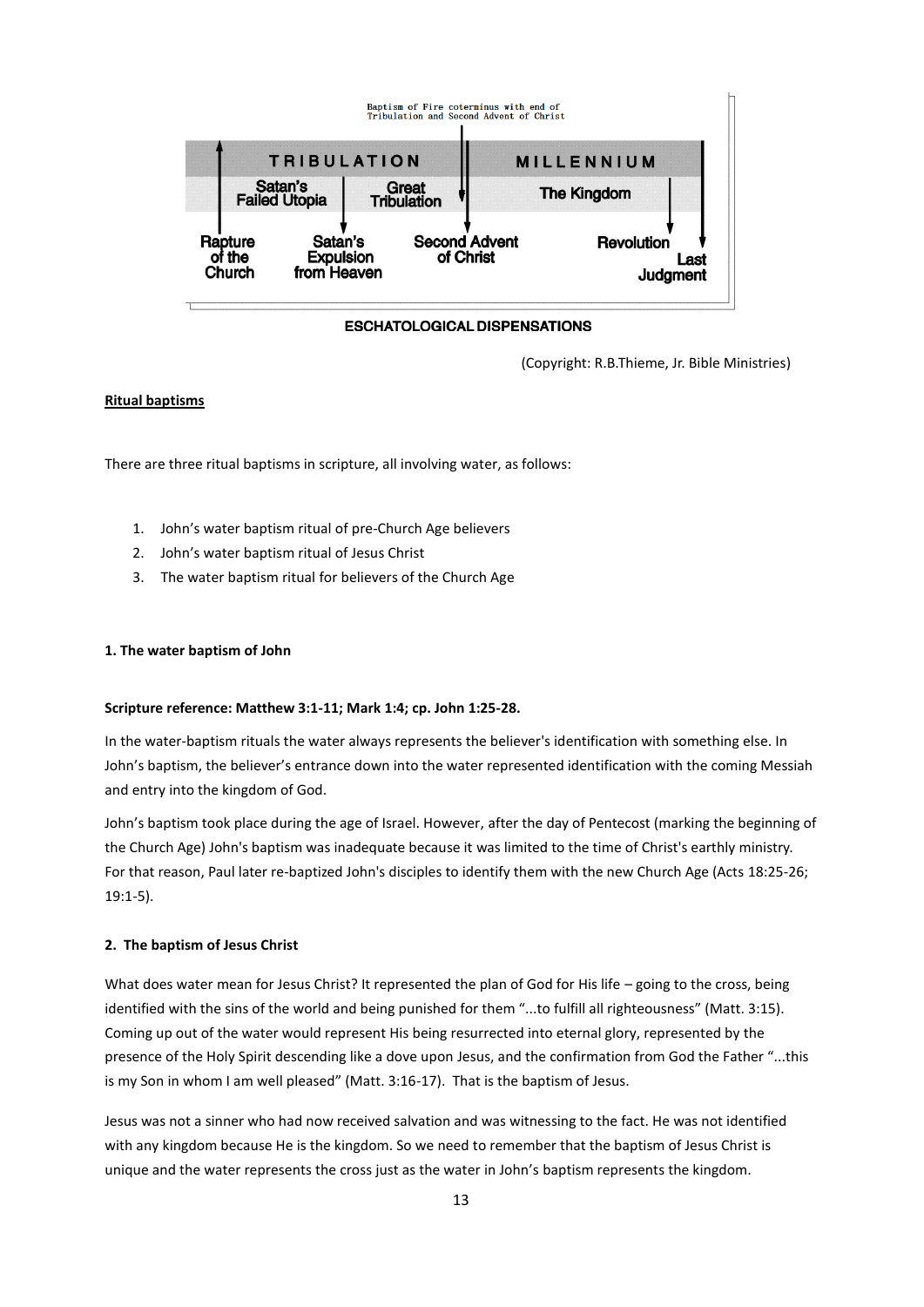

#### **ESCHATOLOGICAL DISPENSATIONS**

(Copyright: R.B.Thieme, Jr. Bible Ministries)

# **Ritual baptisms**

There are three ritual baptisms in scripture, all involving water, as follows:

- 1. John's water baptism ritual of pre-Church Age believers
- 2. John's water baptism ritual of Jesus Christ
- 3. The water baptism ritual for believers of the Church Age

## **1. The water baptism of John**

#### **Scripture reference: Matthew 3:1-11; Mark 1:4; cp. John 1:25-28.**

In the water-baptism rituals the water always represents the believer's identification with something else. In John's baptism, the believer's entrance down into the water represented identification with the coming Messiah and entry into the kingdom of God.

John's baptism took place during the age of Israel. However, after the day of Pentecost (marking the beginning of the Church Age) John's baptism was inadequate because it was limited to the time of Christ's earthly ministry. For that reason, Paul later re-baptized John's disciples to identify them with the new Church Age (Acts 18:25-26; 19:1-5).

#### **2. The baptism of Jesus Christ**

What does water mean for Jesus Christ? It represented the plan of God for His life – going to the cross, being identified with the sins of the world and being punished for them "...to fulfill all righteousness" (Matt. 3:15). Coming up out of the water would represent His being resurrected into eternal glory, represented by the presence of the Holy Spirit descending like a dove upon Jesus, and the confirmation from God the Father "...this is my Son in whom I am well pleased" (Matt. 3:16-17). That is the baptism of Jesus.

Jesus was not a sinner who had now received salvation and was witnessing to the fact. He was not identified with any kingdom because He is the kingdom. So we need to remember that the baptism of Jesus Christ is unique and the water represents the cross just as the water in John's baptism represents the kingdom.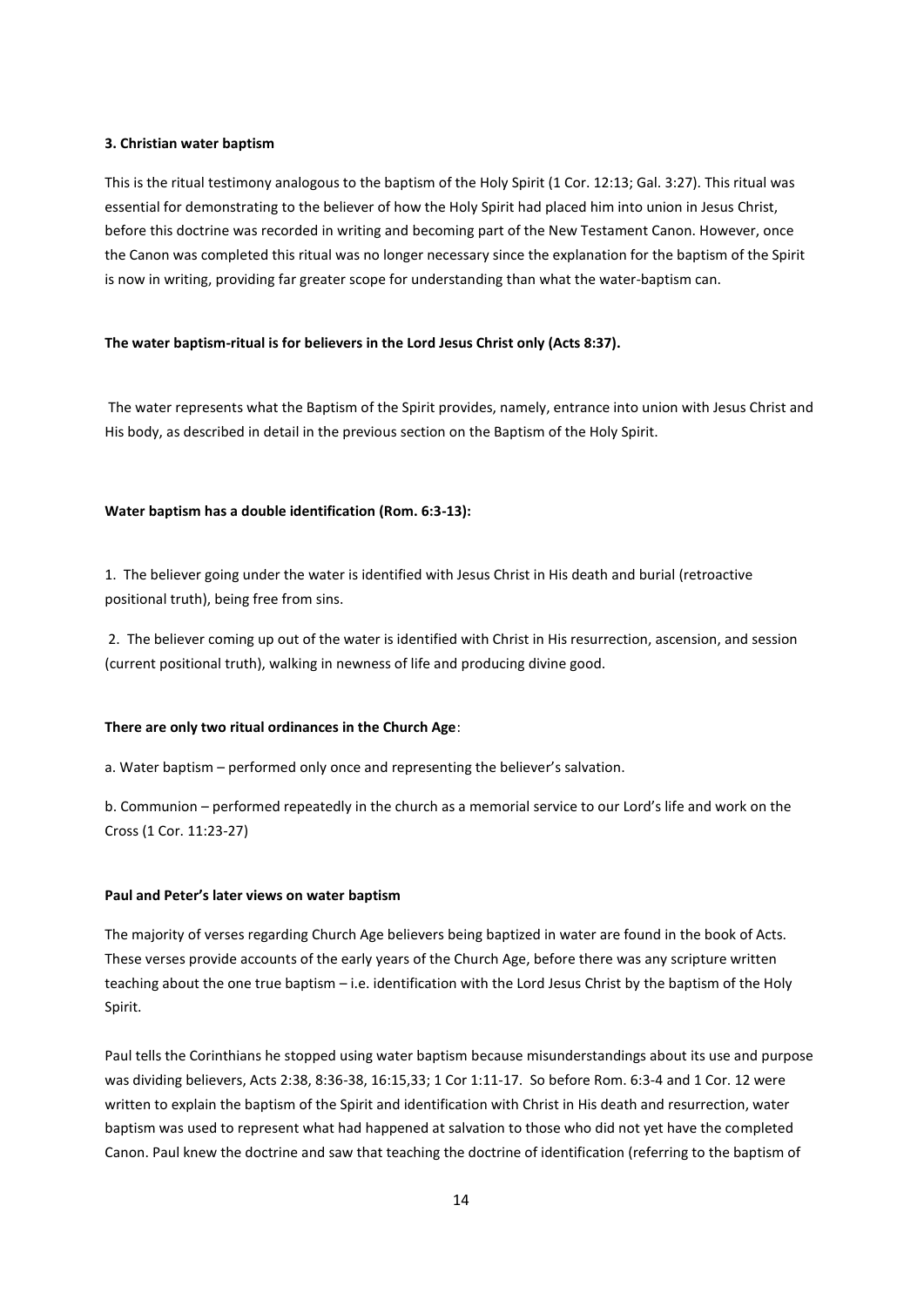## **3. Christian water baptism**

This is the ritual testimony analogous to the baptism of the Holy Spirit (1 Cor. 12:13; Gal. 3:27). This ritual was essential for demonstrating to the believer of how the Holy Spirit had placed him into union in Jesus Christ, before this doctrine was recorded in writing and becoming part of the New Testament Canon. However, once the Canon was completed this ritual was no longer necessary since the explanation for the baptism of the Spirit is now in writing, providing far greater scope for understanding than what the water-baptism can.

#### **The water baptism-ritual is for believers in the Lord Jesus Christ only (Acts 8:37).**

The water represents what the Baptism of the Spirit provides, namely, entrance into union with Jesus Christ and His body, as described in detail in the previous section on the Baptism of the Holy Spirit.

## **Water baptism has a double identification (Rom. 6:3-13):**

1. The believer going under the water is identified with Jesus Christ in His death and burial (retroactive positional truth), being free from sins.

2. The believer coming up out of the water is identified with Christ in His resurrection, ascension, and session (current positional truth), walking in newness of life and producing divine good.

#### **There are only two ritual ordinances in the Church Age**:

a. Water baptism – performed only once and representing the believer's salvation.

b. Communion – performed repeatedly in the church as a memorial service to our Lord's life and work on the Cross (1 Cor. 11:23-27)

## **Paul and Peter's later views on water baptism**

The majority of verses regarding Church Age believers being baptized in water are found in the book of Acts. These verses provide accounts of the early years of the Church Age, before there was any scripture written teaching about the one true baptism – i.e. identification with the Lord Jesus Christ by the baptism of the Holy Spirit.

Paul tells the Corinthians he stopped using water baptism because misunderstandings about its use and purpose was dividing believers, Acts 2:38, 8:36-38, 16:15,33; 1 Cor 1:11-17. So before Rom. 6:3-4 and 1 Cor. 12 were written to explain the baptism of the Spirit and identification with Christ in His death and resurrection, water baptism was used to represent what had happened at salvation to those who did not yet have the completed Canon. Paul knew the doctrine and saw that teaching the doctrine of identification (referring to the baptism of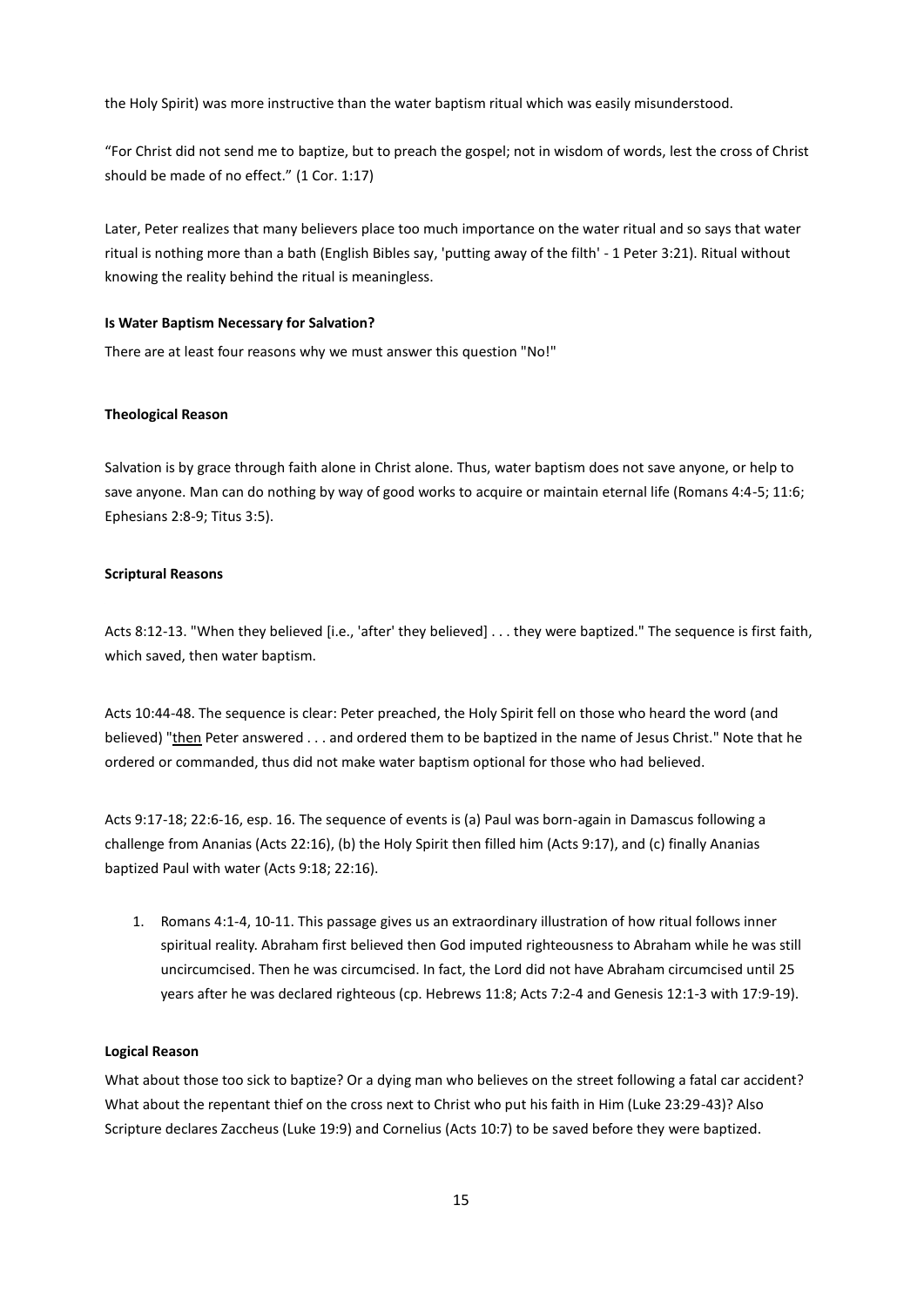the Holy Spirit) was more instructive than the water baptism ritual which was easily misunderstood.

"For Christ did not send me to baptize, but to preach the gospel; not in wisdom of words, lest the cross of Christ should be made of no effect." (1 Cor. 1:17)

Later, Peter realizes that many believers place too much importance on the water ritual and so says that water ritual is nothing more than a bath (English Bibles say, 'putting away of the filth' - 1 Peter 3:21). Ritual without knowing the reality behind the ritual is meaningless.

#### **Is Water Baptism Necessary for Salvation?**

There are at least four reasons why we must answer this question "No!"

## **Theological Reason**

Salvation is by grace through faith alone in Christ alone. Thus, water baptism does not save anyone, or help to save anyone. Man can do nothing by way of good works to acquire or maintain eternal life (Romans 4:4-5; 11:6; Ephesians 2:8-9; Titus 3:5).

#### **Scriptural Reasons**

Acts 8:12-13. "When they believed [i.e., 'after' they believed] . . . they were baptized." The sequence is first faith, which saved, then water baptism.

Acts 10:44-48. The sequence is clear: Peter preached, the Holy Spirit fell on those who heard the word (and believed) "then Peter answered . . . and ordered them to be baptized in the name of Jesus Christ." Note that he ordered or commanded, thus did not make water baptism optional for those who had believed.

Acts 9:17-18; 22:6-16, esp. 16. The sequence of events is (a) Paul was born-again in Damascus following a challenge from Ananias (Acts 22:16), (b) the Holy Spirit then filled him (Acts 9:17), and (c) finally Ananias baptized Paul with water (Acts 9:18; 22:16).

1. Romans 4:1-4, 10-11. This passage gives us an extraordinary illustration of how ritual follows inner spiritual reality. Abraham first believed then God imputed righteousness to Abraham while he was still uncircumcised. Then he was circumcised. In fact, the Lord did not have Abraham circumcised until 25 years after he was declared righteous (cp. Hebrews 11:8; Acts 7:2-4 and Genesis 12:1-3 with 17:9-19).

## **Logical Reason**

What about those too sick to baptize? Or a dying man who believes on the street following a fatal car accident? What about the repentant thief on the cross next to Christ who put his faith in Him (Luke 23:29-43)? Also Scripture declares Zaccheus (Luke 19:9) and Cornelius (Acts 10:7) to be saved before they were baptized.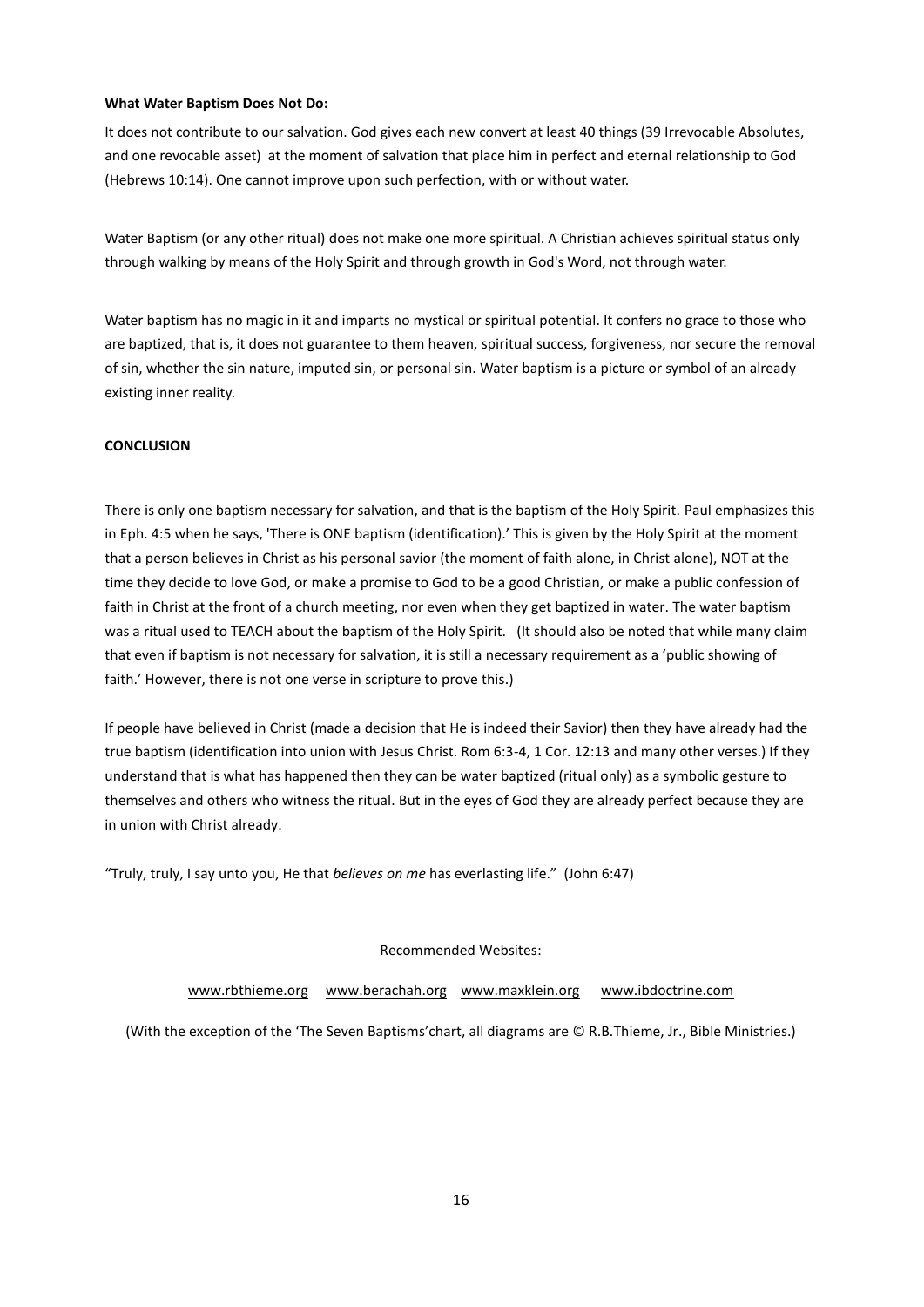## **What Water Baptism Does Not Do:**

It does not contribute to our salvation. God gives each new convert at least 40 things (39 Irrevocable Absolutes, and one revocable asset) at the moment of salvation that place him in perfect and eternal relationship to God (Hebrews 10:14). One cannot improve upon such perfection, with or without water.

Water Baptism (or any other ritual) does not make one more spiritual. A Christian achieves spiritual status only through walking by means of the Holy Spirit and through growth in God's Word, not through water.

Water baptism has no magic in it and imparts no mystical or spiritual potential. It confers no grace to those who are baptized, that is, it does not guarantee to them heaven, spiritual success, forgiveness, nor secure the removal of sin, whether the sin nature, imputed sin, or personal sin. Water baptism is a picture or symbol of an already existing inner reality.

## **CONCLUSION**

There is only one baptism necessary for salvation, and that is the baptism of the Holy Spirit. Paul emphasizes this in Eph. 4:5 when he says, 'There is ONE baptism (identification).' This is given by the Holy Spirit at the moment that a person believes in Christ as his personal savior (the moment of faith alone, in Christ alone), NOT at the time they decide to love God, or make a promise to God to be a good Christian, or make a public confession of faith in Christ at the front of a church meeting, nor even when they get baptized in water. The water baptism was a ritual used to TEACH about the baptism of the Holy Spirit. (It should also be noted that while many claim that even if baptism is not necessary for salvation, it is still a necessary requirement as a 'public showing of faith.' However, there is not one verse in scripture to prove this.)

If people have believed in Christ (made a decision that He is indeed their Savior) then they have already had the true baptism (identification into union with Jesus Christ. Rom 6:3-4, 1 Cor. 12:13 and many other verses.) If they understand that is what has happened then they can be water baptized (ritual only) as a symbolic gesture to themselves and others who witness the ritual. But in the eyes of God they are already perfect because they are in union with Christ already.

"Truly, truly, I say unto you, He that *believes on me* has everlasting life." (John 6:47)

Recommended Websites:

[www.rbthieme.org](http://www.rbthieme.org/) [www.berachah.org](http://www.berachah.org/) [www.maxklein.org](http://www.maxklein.org/) [www.ibdoctrine.com](http://www.ibdoctrine.com/)

(With the exception of the 'The Seven Baptisms'chart, all diagrams are © R.B.Thieme, Jr., Bible Ministries.)